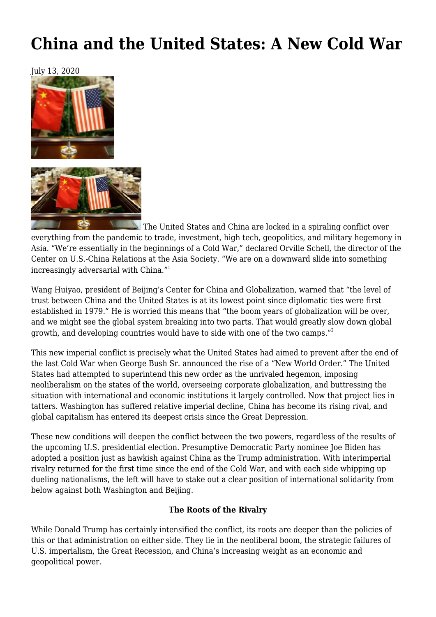# **[China and the United States: A New Cold War](https://newpol.org/issue_post/china-and-the-united-states-a-new-cold-war/)**

July 13, 2020



 The United States and China are locked in a spiraling conflict over everything from the pandemic to trade, investment, high tech, geopolitics, and military hegemony in Asia. "We're essentially in the beginnings of a Cold War," declared Orville Schell, the director of the Center on U.S.-China Relations at the Asia Society. "We are on a downward slide into something increasingly adversarial with China."<sup>1</sup>

Wang Huiyao, president of Beijing's Center for China and Globalization, warned that "the level of trust between China and the United States is at its lowest point since diplomatic ties were first established in 1979." He is worried this means that "the boom years of globalization will be over, and we might see the global system breaking into two parts. That would greatly slow down global growth, and developing countries would have to side with one of the two camps."<sup>2</sup>

This new imperial conflict is precisely what the United States had aimed to prevent after the end of the last Cold War when George Bush Sr. announced the rise of a "New World Order." The United States had attempted to superintend this new order as the unrivaled hegemon, imposing neoliberalism on the states of the world, overseeing corporate globalization, and buttressing the situation with international and economic institutions it largely controlled. Now that project lies in tatters. Washington has suffered relative imperial decline, China has become its rising rival, and global capitalism has entered its deepest crisis since the Great Depression.

These new conditions will deepen the conflict between the two powers, regardless of the results of the upcoming U.S. presidential election. Presumptive Democratic Party nominee Joe Biden has adopted a position just as hawkish against China as the Trump administration. With interimperial rivalry returned for the first time since the end of the Cold War, and with each side whipping up dueling nationalisms, the left will have to stake out a clear position of international solidarity from below against both Washington and Beijing.

### **The Roots of the Rivalry**

While Donald Trump has certainly intensified the conflict, its roots are deeper than the policies of this or that administration on either side. They lie in the neoliberal boom, the strategic failures of U.S. imperialism, the Great Recession, and China's increasing weight as an economic and geopolitical power.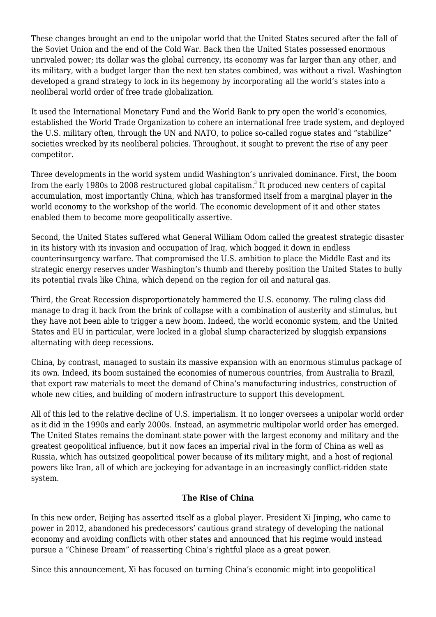These changes brought an end to the unipolar world that the United States secured after the fall of the Soviet Union and the end of the Cold War. Back then the United States possessed enormous unrivaled power; its dollar was the global currency, its economy was far larger than any other, and its military, with a budget larger than the next ten states combined, was without a rival. Washington developed a grand strategy to lock in its hegemony by incorporating all the world's states into a neoliberal world order of free trade globalization.

It used the International Monetary Fund and the World Bank to pry open the world's economies, established the World Trade Organization to cohere an international free trade system, and deployed the U.S. military often, through the UN and NATO, to police so-called rogue states and "stabilize" societies wrecked by its neoliberal policies. Throughout, it sought to prevent the rise of any peer competitor.

Three developments in the world system undid Washington's unrivaled dominance. First, the boom from the early 1980s to 2008 restructured global capitalism. $^{\rm 3}$  It produced new centers of capital accumulation, most importantly China, which has transformed itself from a marginal player in the world economy to the workshop of the world. The economic development of it and other states enabled them to become more geopolitically assertive.

Second, the United States suffered what General William Odom called the greatest strategic disaster in its history with its invasion and occupation of Iraq, which bogged it down in endless counterinsurgency warfare. That compromised the U.S. ambition to place the Middle East and its strategic energy reserves under Washington's thumb and thereby position the United States to bully its potential rivals like China, which depend on the region for oil and natural gas.

Third, the Great Recession disproportionately hammered the U.S. economy. The ruling class did manage to drag it back from the brink of collapse with a combination of austerity and stimulus, but they have not been able to trigger a new boom. Indeed, the world economic system, and the United States and EU in particular, were locked in a global slump characterized by sluggish expansions alternating with deep recessions.

China, by contrast, managed to sustain its massive expansion with an enormous stimulus package of its own. Indeed, its boom sustained the economies of numerous countries, from Australia to Brazil, that export raw materials to meet the demand of China's manufacturing industries, construction of whole new cities, and building of modern infrastructure to support this development.

All of this led to the relative decline of U.S. imperialism. It no longer oversees a unipolar world order as it did in the 1990s and early 2000s. Instead, an asymmetric multipolar world order has emerged. The United States remains the dominant state power with the largest economy and military and the greatest geopolitical influence, but it now faces an imperial rival in the form of China as well as Russia, which has outsized geopolitical power because of its military might, and a host of regional powers like Iran, all of which are jockeying for advantage in an increasingly conflict-ridden state system.

### **The Rise of China**

In this new order, Beijing has asserted itself as a global player. President Xi Jinping, who came to power in 2012, abandoned his predecessors' cautious grand strategy of developing the national economy and avoiding conflicts with other states and announced that his regime would instead pursue a "Chinese Dream" of reasserting China's rightful place as a great power.

Since this announcement, Xi has focused on turning China's economic might into geopolitical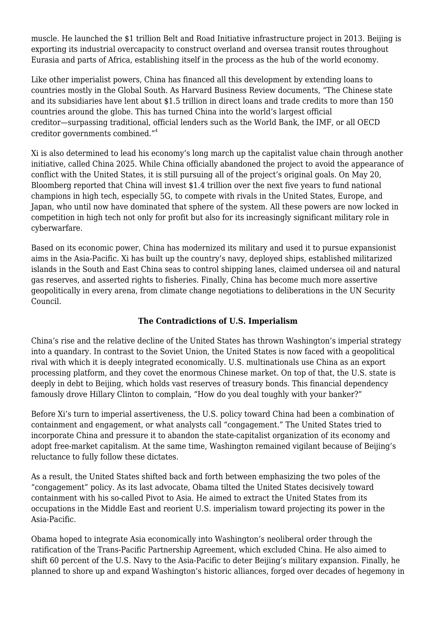muscle. He launched the \$1 trillion Belt and Road Initiative infrastructure project in 2013. Beijing is exporting its industrial overcapacity to construct overland and oversea transit routes throughout Eurasia and parts of Africa, establishing itself in the process as the hub of the world economy.

Like other imperialist powers, China has financed all this development by extending loans to countries mostly in the Global South. As Harvard Business Review documents, "The Chinese state and its subsidiaries have lent about \$1.5 trillion in direct loans and trade credits to more than 150 countries around the globe. This has turned China into the world's largest official creditor—surpassing traditional, official lenders such as the World Bank, the IMF, or all OECD creditor governments combined."<sup>4</sup>

Xi is also determined to lead his economy's long march up the capitalist value chain through another initiative, called China 2025. While China officially abandoned the project to avoid the appearance of conflict with the United States, it is still pursuing all of the project's original goals. On May 20, Bloomberg reported that China will invest \$1.4 trillion over the next five years to fund national champions in high tech, especially 5G, to compete with rivals in the United States, Europe, and Japan, who until now have dominated that sphere of the system. All these powers are now locked in competition in high tech not only for profit but also for its increasingly significant military role in cyberwarfare.

Based on its economic power, China has modernized its military and used it to pursue expansionist aims in the Asia-Pacific. Xi has built up the country's navy, deployed ships, established militarized islands in the South and East China seas to control shipping lanes, claimed undersea oil and natural gas reserves, and asserted rights to fisheries. Finally, China has become much more assertive geopolitically in every arena, from climate change negotiations to deliberations in the UN Security Council.

### **The Contradictions of U.S. Imperialism**

China's rise and the relative decline of the United States has thrown Washington's imperial strategy into a quandary. In contrast to the Soviet Union, the United States is now faced with a geopolitical rival with which it is deeply integrated economically. U.S. multinationals use China as an export processing platform, and they covet the enormous Chinese market. On top of that, the U.S. state is deeply in debt to Beijing, which holds vast reserves of treasury bonds. This financial dependency famously drove Hillary Clinton to complain, "How do you deal toughly with your banker?"

Before Xi's turn to imperial assertiveness, the U.S. policy toward China had been a combination of containment and engagement, or what analysts call "congagement." The United States tried to incorporate China and pressure it to abandon the state-capitalist organization of its economy and adopt free-market capitalism. At the same time, Washington remained vigilant because of Beijing's reluctance to fully follow these dictates.

As a result, the United States shifted back and forth between emphasizing the two poles of the "congagement" policy. As its last advocate, Obama tilted the United States decisively toward containment with his so-called Pivot to Asia. He aimed to extract the United States from its occupations in the Middle East and reorient U.S. imperialism toward projecting its power in the Asia-Pacific.

Obama hoped to integrate Asia economically into Washington's neoliberal order through the ratification of the Trans-Pacific Partnership Agreement, which excluded China. He also aimed to shift 60 percent of the U.S. Navy to the Asia-Pacific to deter Beijing's military expansion. Finally, he planned to shore up and expand Washington's historic alliances, forged over decades of hegemony in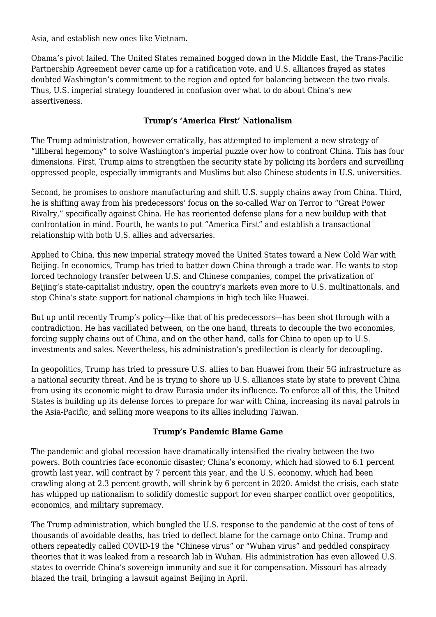Asia, and establish new ones like Vietnam.

Obama's pivot failed. The United States remained bogged down in the Middle East, the Trans-Pacific Partnership Agreement never came up for a ratification vote, and U.S. alliances frayed as states doubted Washington's commitment to the region and opted for balancing between the two rivals. Thus, U.S. imperial strategy foundered in confusion over what to do about China's new assertiveness.

## **Trump's 'America First' Nationalism**

The Trump administration, however erratically, has attempted to implement a new strategy of "illiberal hegemony" to solve Washington's imperial puzzle over how to confront China. This has four dimensions. First, Trump aims to strengthen the security state by policing its borders and surveilling oppressed people, especially immigrants and Muslims but also Chinese students in U.S. universities.

Second, he promises to onshore manufacturing and shift U.S. supply chains away from China. Third, he is shifting away from his predecessors' focus on the so-called War on Terror to "Great Power Rivalry," specifically against China. He has reoriented defense plans for a new buildup with that confrontation in mind. Fourth, he wants to put "America First" and establish a transactional relationship with both U.S. allies and adversaries.

Applied to China, this new imperial strategy moved the United States toward a New Cold War with Beijing. In economics, Trump has tried to batter down China through a trade war. He wants to stop forced technology transfer between U.S. and Chinese companies, compel the privatization of Beijing's state-capitalist industry, open the country's markets even more to U.S. multinationals, and stop China's state support for national champions in high tech like Huawei.

But up until recently Trump's policy—like that of his predecessors—has been shot through with a contradiction. He has vacillated between, on the one hand, threats to decouple the two economies, forcing supply chains out of China, and on the other hand, calls for China to open up to U.S. investments and sales. Nevertheless, his administration's predilection is clearly for decoupling.

In geopolitics, Trump has tried to pressure U.S. allies to ban Huawei from their 5G infrastructure as a national security threat. And he is trying to shore up U.S. alliances state by state to prevent China from using its economic might to draw Eurasia under its influence. To enforce all of this, the United States is building up its defense forces to prepare for war with China, increasing its naval patrols in the Asia-Pacific, and selling more weapons to its allies including Taiwan.

### **Trump's Pandemic Blame Game**

The pandemic and global recession have dramatically intensified the rivalry between the two powers. Both countries face economic disaster; China's economy, which had slowed to 6.1 percent growth last year, will contract by 7 percent this year, and the U.S. economy, which had been crawling along at 2.3 percent growth, will shrink by 6 percent in 2020. Amidst the crisis, each state has whipped up nationalism to solidify domestic support for even sharper conflict over geopolitics, economics, and military supremacy.

The Trump administration, which bungled the U.S. response to the pandemic at the cost of tens of thousands of avoidable deaths, has tried to deflect blame for the carnage onto China. Trump and others repeatedly called COVID-19 the "Chinese virus" or "Wuhan virus" and peddled conspiracy theories that it was leaked from a research lab in Wuhan. His administration has even allowed U.S. states to override China's sovereign immunity and sue it for compensation. Missouri has already blazed the trail, bringing a lawsuit against Beijing in April.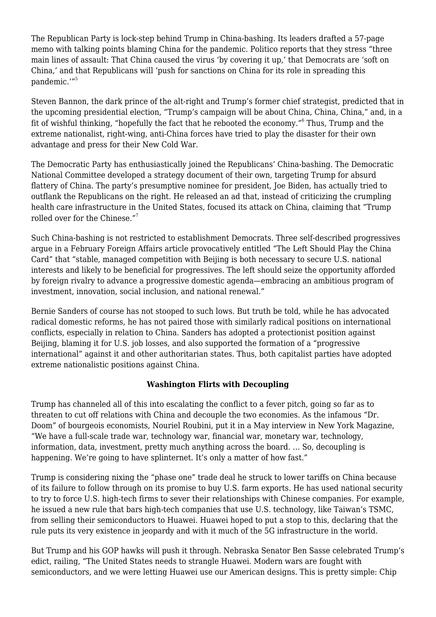The Republican Party is lock-step behind Trump in China-bashing. Its leaders drafted a 57-page memo with talking points blaming China for the pandemic. Politico reports that they stress "three main lines of assault: That China caused the virus 'by covering it up,' that Democrats are 'soft on China,' and that Republicans will 'push for sanctions on China for its role in spreading this pandemic.'"<sup>5</sup>

Steven Bannon, the dark prince of the alt-right and Trump's former chief strategist, predicted that in the upcoming presidential election, "Trump's campaign will be about China, China, China," and, in a fit of wishful thinking, "hopefully the fact that he rebooted the economy."<sup>6</sup> Thus, Trump and the extreme nationalist, right-wing, anti-China forces have tried to play the disaster for their own advantage and press for their New Cold War.

The Democratic Party has enthusiastically joined the Republicans' China-bashing. The Democratic National Committee developed a strategy document of their own, targeting Trump for absurd flattery of China. The party's presumptive nominee for president, Joe Biden, has actually tried to outflank the Republicans on the right. He released an ad that, instead of criticizing the crumpling health care infrastructure in the United States, focused its attack on China, claiming that "Trump rolled over for the Chinese."<sup>7</sup>

Such China-bashing is not restricted to establishment Democrats. Three self-described progressives argue in a February Foreign Affairs article provocatively entitled "The Left Should Play the China Card" that "stable, managed competition with Beijing is both necessary to secure U.S. national interests and likely to be beneficial for progressives. The left should seize the opportunity afforded by foreign rivalry to advance a progressive domestic agenda—embracing an ambitious program of investment, innovation, social inclusion, and national renewal."

Bernie Sanders of course has not stooped to such lows. But truth be told, while he has advocated radical domestic reforms, he has not paired those with similarly radical positions on international conflicts, especially in relation to China. Sanders has adopted a protectionist position against Beijing, blaming it for U.S. job losses, and also supported the formation of a "progressive international" against it and other authoritarian states. Thus, both capitalist parties have adopted extreme nationalistic positions against China.

#### **Washington Flirts with Decoupling**

Trump has channeled all of this into escalating the conflict to a fever pitch, going so far as to threaten to cut off relations with China and decouple the two economies. As the infamous "Dr. Doom" of bourgeois economists, Nouriel Roubini, put it in a May interview in New York Magazine, "We have a full-scale trade war, technology war, financial war, monetary war, technology, information, data, investment, pretty much anything across the board. … So, decoupling is happening. We're going to have splinternet. It's only a matter of how fast."

Trump is considering nixing the "phase one" trade deal he struck to lower tariffs on China because of its failure to follow through on its promise to buy U.S. farm exports. He has used national security to try to force U.S. high-tech firms to sever their relationships with Chinese companies. For example, he issued a new rule that bars high-tech companies that use U.S. technology, like Taiwan's TSMC, from selling their semiconductors to Huawei. Huawei hoped to put a stop to this, declaring that the rule puts its very existence in jeopardy and with it much of the 5G infrastructure in the world.

But Trump and his GOP hawks will push it through. Nebraska Senator Ben Sasse celebrated Trump's edict, railing, "The United States needs to strangle Huawei. Modern wars are fought with semiconductors, and we were letting Huawei use our American designs. This is pretty simple: Chip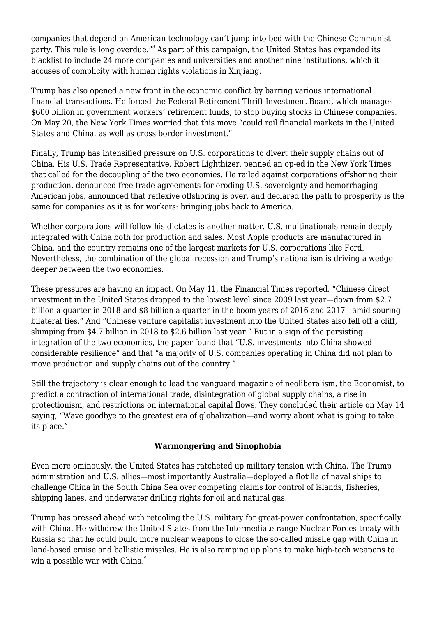companies that depend on American technology can't jump into bed with the Chinese Communist party. This rule is long overdue." $^{\text{\tiny 8}}$  As part of this campaign, the United States has expanded its blacklist to include 24 more companies and universities and another nine institutions, which it accuses of complicity with human rights violations in Xinjiang.

Trump has also opened a new front in the economic conflict by barring various international financial transactions. He forced the Federal Retirement Thrift Investment Board, which manages \$600 billion in government workers' retirement funds, to stop buying stocks in Chinese companies. On May 20, the New York Times worried that this move "could roil financial markets in the United States and China, as well as cross border investment."

Finally, Trump has intensified pressure on U.S. corporations to divert their supply chains out of China. His U.S. Trade Representative, Robert Lighthizer, penned an op-ed in the New York Times that called for the decoupling of the two economies. He railed against corporations offshoring their production, denounced free trade agreements for eroding U.S. sovereignty and hemorrhaging American jobs, announced that reflexive offshoring is over, and declared the path to prosperity is the same for companies as it is for workers: bringing jobs back to America.

Whether corporations will follow his dictates is another matter. U.S. multinationals remain deeply integrated with China both for production and sales. Most Apple products are manufactured in China, and the country remains one of the largest markets for U.S. corporations like Ford. Nevertheless, the combination of the global recession and Trump's nationalism is driving a wedge deeper between the two economies.

These pressures are having an impact. On May 11, the Financial Times reported, "Chinese direct investment in the United States dropped to the lowest level since 2009 last year—down from \$2.7 billion a quarter in 2018 and \$8 billion a quarter in the boom years of 2016 and 2017—amid souring bilateral ties." And "Chinese venture capitalist investment into the United States also fell off a cliff, slumping from \$4.7 billion in 2018 to \$2.6 billion last year." But in a sign of the persisting integration of the two economies, the paper found that "U.S. investments into China showed considerable resilience" and that "a majority of U.S. companies operating in China did not plan to move production and supply chains out of the country."

Still the trajectory is clear enough to lead the vanguard magazine of neoliberalism, the Economist, to predict a contraction of international trade, disintegration of global supply chains, a rise in protectionism, and restrictions on international capital flows. They concluded their article on May 14 saying, "Wave goodbye to the greatest era of globalization—and worry about what is going to take its place."

### **Warmongering and Sinophobia**

Even more ominously, the United States has ratcheted up military tension with China. The Trump administration and U.S. allies—most importantly Australia—deployed a flotilla of naval ships to challenge China in the South China Sea over competing claims for control of islands, fisheries, shipping lanes, and underwater drilling rights for oil and natural gas.

Trump has pressed ahead with retooling the U.S. military for great-power confrontation, specifically with China. He withdrew the United States from the Intermediate-range Nuclear Forces treaty with Russia so that he could build more nuclear weapons to close the so-called missile gap with China in land-based cruise and ballistic missiles. He is also ramping up plans to make high-tech weapons to win a possible war with China.<sup>9</sup>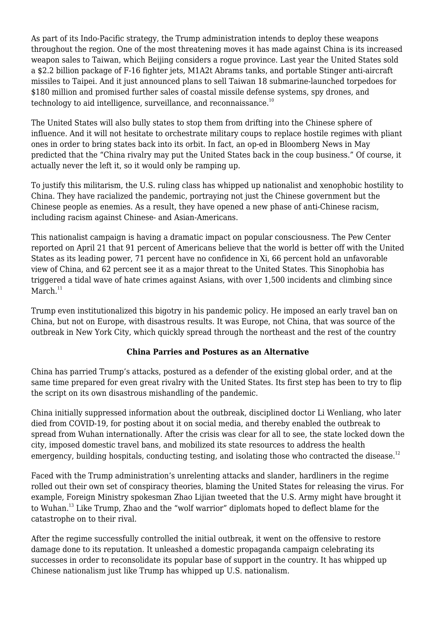As part of its Indo-Pacific strategy, the Trump administration intends to deploy these weapons throughout the region. One of the most threatening moves it has made against China is its increased weapon sales to Taiwan, which Beijing considers a rogue province. Last year the United States sold a \$2.2 billion package of F-16 fighter jets, M1A2t Abrams tanks, and portable Stinger anti-aircraft missiles to Taipei. And it just announced plans to sell Taiwan 18 submarine-launched torpedoes for \$180 million and promised further sales of coastal missile defense systems, spy drones, and technology to aid intelligence, surveillance, and reconnaissance. $10$ 

The United States will also bully states to stop them from drifting into the Chinese sphere of influence. And it will not hesitate to orchestrate military coups to replace hostile regimes with pliant ones in order to bring states back into its orbit. In fact, an op-ed in Bloomberg News in May predicted that the "China rivalry may put the United States back in the coup business." Of course, it actually never the left it, so it would only be ramping up.

To justify this militarism, the U.S. ruling class has whipped up nationalist and xenophobic hostility to China. They have racialized the pandemic, portraying not just the Chinese government but the Chinese people as enemies. As a result, they have opened a new phase of anti-Chinese racism, including racism against Chinese- and Asian-Americans.

This nationalist campaign is having a dramatic impact on popular consciousness. The Pew Center reported on April 21 that 91 percent of Americans believe that the world is better off with the United States as its leading power, 71 percent have no confidence in Xi, 66 percent hold an unfavorable view of China, and 62 percent see it as a major threat to the United States. This Sinophobia has triggered a tidal wave of hate crimes against Asians, with over 1,500 incidents and climbing since  $March.<sup>11</sup>$ 

Trump even institutionalized this bigotry in his pandemic policy. He imposed an early travel ban on China, but not on Europe, with disastrous results. It was Europe, not China, that was source of the outbreak in New York City, which quickly spread through the northeast and the rest of the country

### **China Parries and Postures as an Alternative**

China has parried Trump's attacks, postured as a defender of the existing global order, and at the same time prepared for even great rivalry with the United States. Its first step has been to try to flip the script on its own disastrous mishandling of the pandemic.

China initially suppressed information about the outbreak, disciplined doctor Li Wenliang, who later died from COVID-19, for posting about it on social media, and thereby enabled the outbreak to spread from Wuhan internationally. After the crisis was clear for all to see, the state locked down the city, imposed domestic travel bans, and mobilized its state resources to address the health emergency, building hospitals, conducting testing, and isolating those who contracted the disease.<sup>12</sup>

Faced with the Trump administration's unrelenting attacks and slander, hardliners in the regime rolled out their own set of conspiracy theories, blaming the United States for releasing the virus. For example, Foreign Ministry spokesman Zhao Lijian tweeted that the U.S. Army might have brought it to Wuhan.<sup>13</sup> Like Trump, Zhao and the "wolf warrior" diplomats hoped to deflect blame for the catastrophe on to their rival.

After the regime successfully controlled the initial outbreak, it went on the offensive to restore damage done to its reputation. It unleashed a domestic propaganda campaign celebrating its successes in order to reconsolidate its popular base of support in the country. It has whipped up Chinese nationalism just like Trump has whipped up U.S. nationalism.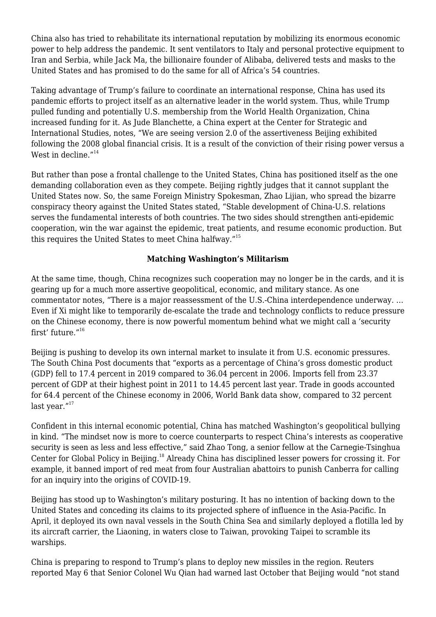China also has tried to rehabilitate its international reputation by mobilizing its enormous economic power to help address the pandemic. It sent ventilators to Italy and personal protective equipment to Iran and Serbia, while Jack Ma, the billionaire founder of Alibaba, delivered tests and masks to the United States and has promised to do the same for all of Africa's 54 countries.

Taking advantage of Trump's failure to coordinate an international response, China has used its pandemic efforts to project itself as an alternative leader in the world system. Thus, while Trump pulled funding and potentially U.S. membership from the World Health Organization, China increased funding for it. As Jude Blanchette, a China expert at the Center for Strategic and International Studies, notes, "We are seeing version 2.0 of the assertiveness Beijing exhibited following the 2008 global financial crisis. It is a result of the conviction of their rising power versus a West in decline."<sup>14</sup>

But rather than pose a frontal challenge to the United States, China has positioned itself as the one demanding collaboration even as they compete. Beijing rightly judges that it cannot supplant the United States now. So, the same Foreign Ministry Spokesman, Zhao Lijian, who spread the bizarre conspiracy theory against the United States stated, "Stable development of China-U.S. relations serves the fundamental interests of both countries. The two sides should strengthen anti-epidemic cooperation, win the war against the epidemic, treat patients, and resume economic production. But this requires the United States to meet China halfway."<sup>15</sup>

### **Matching Washington's Militarism**

At the same time, though, China recognizes such cooperation may no longer be in the cards, and it is gearing up for a much more assertive geopolitical, economic, and military stance. As one commentator notes, "There is a major reassessment of the U.S.-China interdependence underway. … Even if Xi might like to temporarily de-escalate the trade and technology conflicts to reduce pressure on the Chinese economy, there is now powerful momentum behind what we might call a 'security first' future."<sup>16</sup>

Beijing is pushing to develop its own internal market to insulate it from U.S. economic pressures. The South China Post documents that "exports as a percentage of China's gross domestic product (GDP) fell to 17.4 percent in 2019 compared to 36.04 percent in 2006. Imports fell from 23.37 percent of GDP at their highest point in 2011 to 14.45 percent last year. Trade in goods accounted for 64.4 percent of the Chinese economy in 2006, World Bank data show, compared to 32 percent last year."<sup>17</sup>

Confident in this internal economic potential, China has matched Washington's geopolitical bullying in kind. "The mindset now is more to coerce counterparts to respect China's interests as cooperative security is seen as less and less effective," said Zhao Tong, a senior fellow at the Carnegie-Tsinghua Center for Global Policy in Beijing.<sup>18</sup> Already China has disciplined lesser powers for crossing it. For example, it banned import of red meat from four Australian abattoirs to punish Canberra for calling for an inquiry into the origins of COVID-19.

Beijing has stood up to Washington's military posturing. It has no intention of backing down to the United States and conceding its claims to its projected sphere of influence in the Asia-Pacific. In April, it deployed its own naval vessels in the South China Sea and similarly deployed a flotilla led by its aircraft carrier, the Liaoning, in waters close to Taiwan, provoking Taipei to scramble its warships.

China is preparing to respond to Trump's plans to deploy new missiles in the region. Reuters reported May 6 that Senior Colonel Wu Qian had warned last October that Beijing would "not stand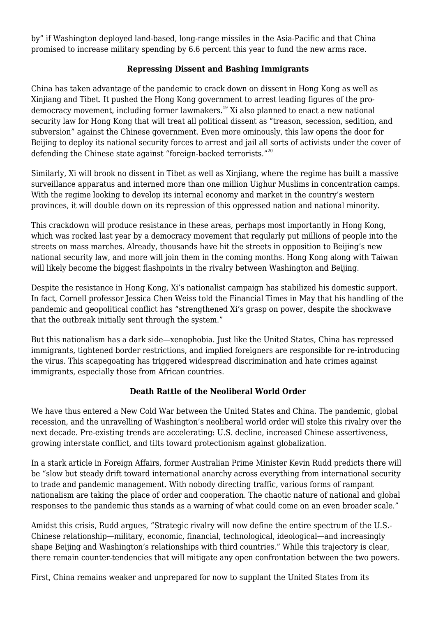by" if Washington deployed land-based, long-range missiles in the Asia-Pacific and that China promised to increase military spending by 6.6 percent this year to fund the new arms race.

### **Repressing Dissent and Bashing Immigrants**

China has taken advantage of the pandemic to crack down on dissent in Hong Kong as well as Xinjiang and Tibet. It pushed the Hong Kong government to arrest leading figures of the prodemocracy movement, including former lawmakers.<sup>19</sup> Xi also planned to enact a new national security law for Hong Kong that will treat all political dissent as "treason, secession, sedition, and subversion" against the Chinese government. Even more ominously, this law opens the door for Beijing to deploy its national security forces to arrest and jail all sorts of activists under the cover of defending the Chinese state against "foreign-backed terrorists."<sup>20</sup>

Similarly, Xi will brook no dissent in Tibet as well as Xinjiang, where the regime has built a massive surveillance apparatus and interned more than one million Uighur Muslims in concentration camps. With the regime looking to develop its internal economy and market in the country's western provinces, it will double down on its repression of this oppressed nation and national minority.

This crackdown will produce resistance in these areas, perhaps most importantly in Hong Kong, which was rocked last year by a democracy movement that regularly put millions of people into the streets on mass marches. Already, thousands have hit the streets in opposition to Beijing's new national security law, and more will join them in the coming months. Hong Kong along with Taiwan will likely become the biggest flashpoints in the rivalry between Washington and Beijing.

Despite the resistance in Hong Kong, Xi's nationalist campaign has stabilized his domestic support. In fact, Cornell professor Jessica Chen Weiss told the Financial Times in May that his handling of the pandemic and geopolitical conflict has "strengthened Xi's grasp on power, despite the shockwave that the outbreak initially sent through the system."

But this nationalism has a dark side—xenophobia. Just like the United States, China has repressed immigrants, tightened border restrictions, and implied foreigners are responsible for re-introducing the virus. This scapegoating has triggered widespread discrimination and hate crimes against immigrants, especially those from African countries.

### **Death Rattle of the Neoliberal World Order**

We have thus entered a New Cold War between the United States and China. The pandemic, global recession, and the unravelling of Washington's neoliberal world order will stoke this rivalry over the next decade. Pre-existing trends are accelerating: U.S. decline, increased Chinese assertiveness, growing interstate conflict, and tilts toward protectionism against globalization.

In a stark article in Foreign Affairs, former Australian Prime Minister Kevin Rudd predicts there will be "slow but steady drift toward international anarchy across everything from international security to trade and pandemic management. With nobody directing traffic, various forms of rampant nationalism are taking the place of order and cooperation. The chaotic nature of national and global responses to the pandemic thus stands as a warning of what could come on an even broader scale."

Amidst this crisis, Rudd argues, "Strategic rivalry will now define the entire spectrum of the U.S.- Chinese relationship—military, economic, financial, technological, ideological—and increasingly shape Beijing and Washington's relationships with third countries." While this trajectory is clear, there remain counter-tendencies that will mitigate any open confrontation between the two powers.

First, China remains weaker and unprepared for now to supplant the United States from its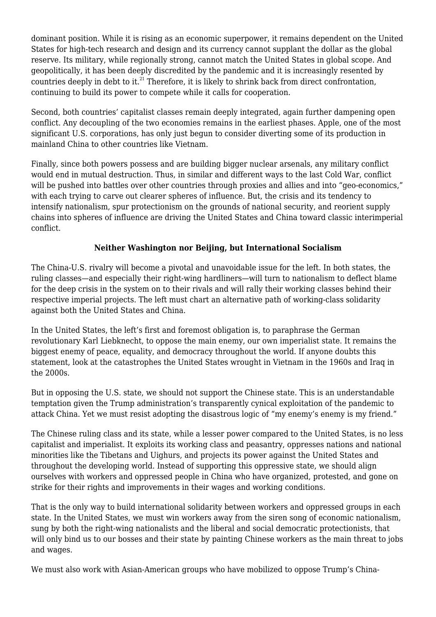dominant position. While it is rising as an economic superpower, it remains dependent on the United States for high-tech research and design and its currency cannot supplant the dollar as the global reserve. Its military, while regionally strong, cannot match the United States in global scope. And geopolitically, it has been deeply discredited by the pandemic and it is increasingly resented by countries deeply in debt to it.<sup>21</sup> Therefore, it is likely to shrink back from direct confrontation, continuing to build its power to compete while it calls for cooperation.

Second, both countries' capitalist classes remain deeply integrated, again further dampening open conflict. Any decoupling of the two economies remains in the earliest phases. Apple, one of the most significant U.S. corporations, has only just begun to consider diverting some of its production in mainland China to other countries like Vietnam.

Finally, since both powers possess and are building bigger nuclear arsenals, any military conflict would end in mutual destruction. Thus, in similar and different ways to the last Cold War, conflict will be pushed into battles over other countries through proxies and allies and into "geo-economics," with each trying to carve out clearer spheres of influence. But, the crisis and its tendency to intensify nationalism, spur protectionism on the grounds of national security, and reorient supply chains into spheres of influence are driving the United States and China toward classic interimperial conflict.

### **Neither Washington nor Beijing, but International Socialism**

The China-U.S. rivalry will become a pivotal and unavoidable issue for the left. In both states, the ruling classes—and especially their right-wing hardliners—will turn to nationalism to deflect blame for the deep crisis in the system on to their rivals and will rally their working classes behind their respective imperial projects. The left must chart an alternative path of working-class solidarity against both the United States and China.

In the United States, the left's first and foremost obligation is, to paraphrase the German revolutionary Karl Liebknecht, to oppose the main enemy, our own imperialist state. It remains the biggest enemy of peace, equality, and democracy throughout the world. If anyone doubts this statement, look at the catastrophes the United States wrought in Vietnam in the 1960s and Iraq in the 2000s.

But in opposing the U.S. state, we should not support the Chinese state. This is an understandable temptation given the Trump administration's transparently cynical exploitation of the pandemic to attack China. Yet we must resist adopting the disastrous logic of "my enemy's enemy is my friend."

The Chinese ruling class and its state, while a lesser power compared to the United States, is no less capitalist and imperialist. It exploits its working class and peasantry, oppresses nations and national minorities like the Tibetans and Uighurs, and projects its power against the United States and throughout the developing world. Instead of supporting this oppressive state, we should align ourselves with workers and oppressed people in China who have organized, protested, and gone on strike for their rights and improvements in their wages and working conditions.

That is the only way to build international solidarity between workers and oppressed groups in each state. In the United States, we must win workers away from the siren song of economic nationalism, sung by both the right-wing nationalists and the liberal and social democratic protectionists, that will only bind us to our bosses and their state by painting Chinese workers as the main threat to jobs and wages.

We must also work with Asian-American groups who have mobilized to oppose Trump's China-